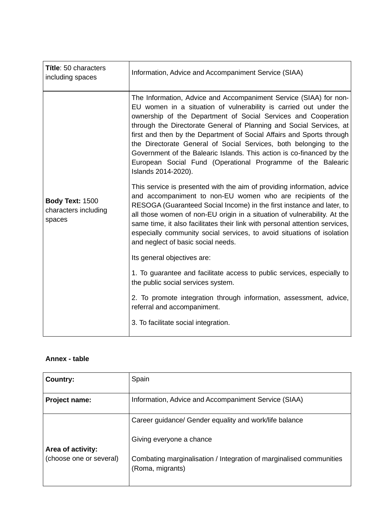| <b>Títle: 50 characters</b><br>including spaces          | Information, Advice and Accompaniment Service (SIAA)                                                                                                                                                                                                                                                                                                                                                                                                                                                                                                                                         |
|----------------------------------------------------------|----------------------------------------------------------------------------------------------------------------------------------------------------------------------------------------------------------------------------------------------------------------------------------------------------------------------------------------------------------------------------------------------------------------------------------------------------------------------------------------------------------------------------------------------------------------------------------------------|
|                                                          | The Information, Advice and Accompaniment Service (SIAA) for non-<br>EU women in a situation of vulnerability is carried out under the<br>ownership of the Department of Social Services and Cooperation<br>through the Directorate General of Planning and Social Services, at<br>first and then by the Department of Social Affairs and Sports through<br>the Directorate General of Social Services, both belonging to the<br>Government of the Balearic Islands. This action is co-financed by the<br>European Social Fund (Operational Programme of the Balearic<br>Islands 2014-2020). |
| <b>Body Text: 1500</b><br>characters including<br>spaces | This service is presented with the aim of providing information, advice<br>and accompaniment to non-EU women who are recipients of the<br>RESOGA (Guaranteed Social Income) in the first instance and later, to<br>all those women of non-EU origin in a situation of vulnerability. At the<br>same time, it also facilitates their link with personal attention services,<br>especially community social services, to avoid situations of isolation<br>and neglect of basic social needs.                                                                                                   |
|                                                          | Its general objectives are:                                                                                                                                                                                                                                                                                                                                                                                                                                                                                                                                                                  |
|                                                          | 1. To guarantee and facilitate access to public services, especially to<br>the public social services system.                                                                                                                                                                                                                                                                                                                                                                                                                                                                                |
|                                                          | 2. To promote integration through information, assessment, advice,<br>referral and accompaniment.                                                                                                                                                                                                                                                                                                                                                                                                                                                                                            |
|                                                          | 3. To facilitate social integration.                                                                                                                                                                                                                                                                                                                                                                                                                                                                                                                                                         |

# **Annex - table**

| Country:                | Spain                                                                                   |
|-------------------------|-----------------------------------------------------------------------------------------|
| <b>Project name:</b>    | Information, Advice and Accompaniment Service (SIAA)                                    |
|                         | Career guidance/ Gender equality and work/life balance                                  |
| Area of activity:       | Giving everyone a chance                                                                |
| (choose one or several) | Combating marginalisation / Integration of marginalised communities<br>(Roma, migrants) |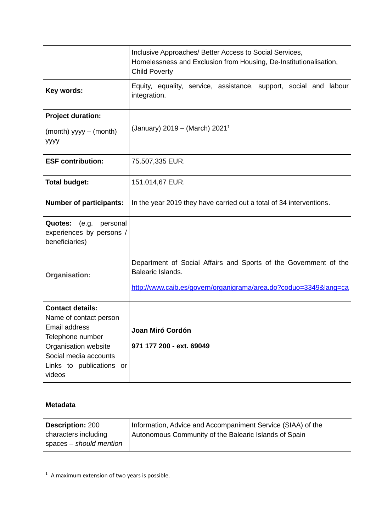|                                                                                                                                                                               | Inclusive Approaches/ Better Access to Social Services,<br>Homelessness and Exclusion from Housing, De-Institutionalisation,<br><b>Child Poverty</b>  |  |  |  |  |  |
|-------------------------------------------------------------------------------------------------------------------------------------------------------------------------------|-------------------------------------------------------------------------------------------------------------------------------------------------------|--|--|--|--|--|
| Key words:                                                                                                                                                                    | Equity, equality, service, assistance, support, social and labour<br>integration.                                                                     |  |  |  |  |  |
| <b>Project duration:</b>                                                                                                                                                      |                                                                                                                                                       |  |  |  |  |  |
| $(month)$ yyyy $-$ (month)<br>уууу                                                                                                                                            | (January) 2019 – (March) 2021 <sup>1</sup>                                                                                                            |  |  |  |  |  |
| <b>ESF contribution:</b>                                                                                                                                                      | 75.507,335 EUR.                                                                                                                                       |  |  |  |  |  |
| <b>Total budget:</b>                                                                                                                                                          | 151.014,67 EUR.                                                                                                                                       |  |  |  |  |  |
| <b>Number of participants:</b>                                                                                                                                                | In the year 2019 they have carried out a total of 34 interventions.                                                                                   |  |  |  |  |  |
| Quotes:<br>(e.g.<br>personal<br>experiences by persons /<br>beneficiaries)                                                                                                    |                                                                                                                                                       |  |  |  |  |  |
| <b>Organisation:</b>                                                                                                                                                          | Department of Social Affairs and Sports of the Government of the<br>Balearic Islands.<br>http://www.caib.es/govern/organigrama/area.do?coduo=3349⟨=ca |  |  |  |  |  |
| <b>Contact details:</b><br>Name of contact person<br>Email address<br>Telephone number<br>Organisation website<br>Social media accounts<br>Links to publications or<br>videos | Joan Miró Cordón<br>971 177 200 - ext. 69049                                                                                                          |  |  |  |  |  |

### **Metadata**

| <b>Description: 200</b> | Information, Advice and Accompaniment Service (SIAA) of the |
|-------------------------|-------------------------------------------------------------|
| characters including    | Autonomous Community of the Balearic Islands of Spain       |
| spaces – should mention |                                                             |

 $^1\,$  A maximum extension of two years is possible.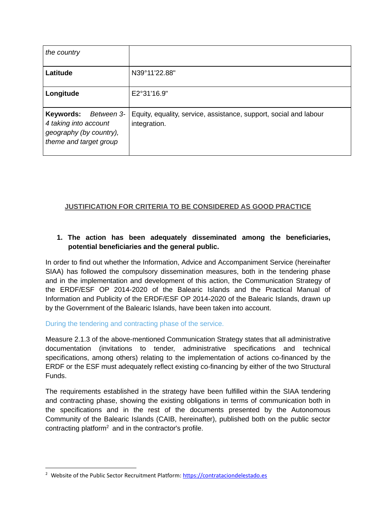| the country                                                                                           |                                                                                   |
|-------------------------------------------------------------------------------------------------------|-----------------------------------------------------------------------------------|
| Latitude                                                                                              | N39°11'22.88"                                                                     |
| Longitude                                                                                             | E2°31'16.9"                                                                       |
| Keywords:<br>Between 3-<br>4 taking into account<br>geography (by country),<br>theme and target group | Equity, equality, service, assistance, support, social and labour<br>integration. |

# **JUSTIFICATION FOR CRITERIA TO BE CONSIDERED AS GOOD PRACTICE**

## **1. The action has been adequately disseminated among the beneficiaries, potential beneficiaries and the general public.**

In order to find out whether the Information, Advice and Accompaniment Service (hereinafter SIAA) has followed the compulsory dissemination measures, both in the tendering phase and in the implementation and development of this action, the Communication Strategy of the ERDF/ESF OP 2014-2020 of the Balearic Islands and the Practical Manual of Information and Publicity of the ERDF/ESF OP 2014-2020 of the Balearic Islands, drawn up by the Government of the Balearic Islands, have been taken into account.

### During the tendering and contracting phase of the service.

Measure 2.1.3 of the above-mentioned Communication Strategy states that all administrative documentation (invitations to tender, administrative specifications and technical specifications, among others) relating to the implementation of actions co-financed by the ERDF or the ESF must adequately reflect existing co-financing by either of the two Structural Funds.

The requirements established in the strategy have been fulfilled within the SIAA tendering and contracting phase, showing the existing obligations in terms of communication both in the specifications and in the rest of the documents presented by the Autonomous Community of the Balearic Islands (CAIB, hereinafter), published both on the public sector contracting platform<sup>2</sup> and in the contractor's profile.

<sup>&</sup>lt;sup>2</sup> Website of the Public Sector Recruitment Platform: [https://contrataciondelestado.es](https://contrataciondelestado.es/)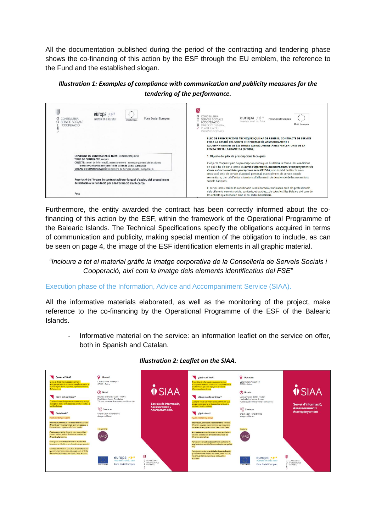All the documentation published during the period of the contracting and tendering phase shows the co-financing of this action by the ESF through the EU emblem, the reference to the Fund and the established slogan.

*Illustration 1: Examples of compliance with communication and publicity measures for the tendering of the performance.*

| ijl,<br>$\cdot$ .<br>europa<br><br>Fons Social Europeu<br>CONSELLERIA<br>inverteix en el teu futur<br>Inió Europea<br>SERVEIS SOCIALS<br>COOPERACIÓ                                                                                                                                                   | ₩<br>CONSELLERIA<br>europa $**$<br>Fons Social Europeu<br>SERVEIS SOCIALS<br>inverteix en el teu futur<br><b>COOPERACIÓ</b><br>Unió Europea<br>DIRECCIÓ GENERAL<br>/ PLANIFICACIÓ<br><b>I SERVEIS SOCIALS</b>                                                                                                                                                                                                                                                                |  |  |  |  |
|-------------------------------------------------------------------------------------------------------------------------------------------------------------------------------------------------------------------------------------------------------------------------------------------------------|------------------------------------------------------------------------------------------------------------------------------------------------------------------------------------------------------------------------------------------------------------------------------------------------------------------------------------------------------------------------------------------------------------------------------------------------------------------------------|--|--|--|--|
| EXPEDIENT DE CONTRACTACIÓ NÚM.: CONTR 2018/4258<br><b>TIPUS DE CONTRACTE: serveis</b><br>OBJECTE: servei de informació, assessorament i acompanyament de les dones<br>extracomunitàries perceptores de la Renda Social Garantida<br>ORGAN DE CONTRACTACIÓ: Consellera de Serveis Socials i Cooperació | PLEC DE PRESCRIPCIONS TÈCNIQUES QUE HA DE REGIR EL CONTRACTE DE SERVEIS<br>PER A LA GESTIÓ DEL SERVEI D'INFORMACIÓ, ASSESSORAMENT I<br>ACOMPANYAMENT DE LES DONES EXTRACOMUNITÀRIES PERCEPTORES DE LA<br>RENDA SOCIAL GARANTIDA (RESOGA)<br>1. Objecte del plec de prescripcions tècniques<br>L'objecte d'aquest plec de prescripcions tècniques és definir la forma i les condicions<br>en què s'ha de dur a terme el Servei d'informació, assessorament i acompanyament de |  |  |  |  |
| Resolució de l'òrgan de contractació per la qual s'exclou del procediment<br>de licitació a la Fundació per a la Formació i la Recerca                                                                                                                                                                | dones extracomunitàries perceptores de la RESOGA, com també facilitar la seva<br>vinculació amb els serveis d'atenció personal, especialment els serveis socials<br>comunitaris, per tal d'evitar situacions d'aïllament i de desatenció de les necessitats<br>socials bàsiques.                                                                                                                                                                                             |  |  |  |  |
| Fets                                                                                                                                                                                                                                                                                                  | El servei inclou també la coordinació i col·laboració continuada amb els professionals<br>dels diferents serveis socials, sanitaris, educatius,de totes les Illes Balears així com de<br>les entitats que treballen amb el col·lectiu beneficiari.                                                                                                                                                                                                                           |  |  |  |  |

Furthermore, the entity awarded the contract has been correctly informed about the cofinancing of this action by the ESF, within the framework of the Operational Programme of the Balearic Islands. The Technical Specifications specify the obligations acquired in terms of communication and publicity, making special mention of the obligation to include, as can be seen on page 4, the image of the ESF identification elements in all graphic material.

## *"Incloure a tot el material gràfic la imatge corporativa de la Conselleria de Serveis Socials i Cooperació, així com la imatge dels elements identificatius del FSE"*

## Execution phase of the Information, Advice and Accompaniment Service (SIAA).

All the informative materials elaborated, as well as the monitoring of the project, make reference to the co-financing by the Operational Programme of the ESF of the Balearic Islands.

Informative material on the service: an information leaflet on the service on offer, both in Spanish and Catalan.



### *Illustration 2: Leaflet on the SIAA.*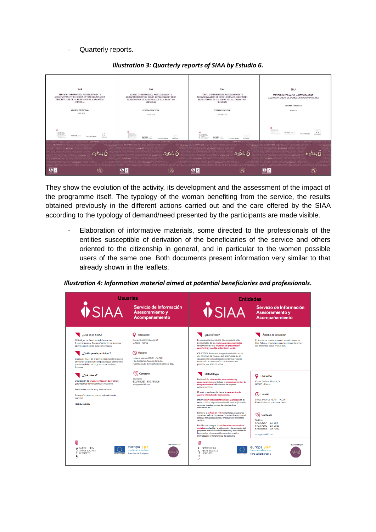Quarterly reports.



#### *Illustration 3: Quarterly reports of SIAA by Estudio 6.*

They show the evolution of the activity, its development and the assessment of the impact of the programme itself. The typology of the woman benefiting from the service, the results obtained previously in the different actions carried out and the care offered by the SIAA according to the typology of demand/need presented by the participants are made visible.

- Elaboration of informative materials, some directed to the professionals of the entities susceptible of derivation of the beneficiaries of the service and others oriented to the citizenship in general, and in particular to the women possible users of the same one. Both documents present information very similar to that already shown in the leaflets.

#### *Illustration 4: Information material aimed at potential beneficiaries and professionals.*

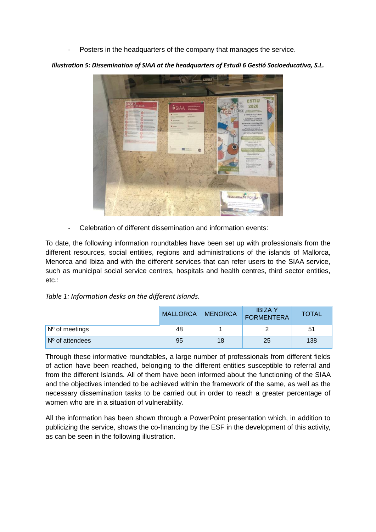Posters in the headquarters of the company that manages the service.

**HUDA BE** 

*Illustration 5: Dissemination of SIAA at the headquarters of Estudi 6 Gestió Socioeducativa, S.L.*

Celebration of different dissemination and information events:

To date, the following information roundtables have been set up with professionals from the different resources, social entities, regions and administrations of the islands of Mallorca, Menorca and Ibiza and with the different services that can refer users to the SIAA service, such as municipal social service centres, hospitals and health centres, third sector entities, etc.:

*Table 1: Information desks on the different islands.*

|                                | <b>MALLORCA</b> | <b>MENORCA</b> | <b>IBIZA Y</b><br><b>FORMENTERA</b> | <b>TOTAL</b> |
|--------------------------------|-----------------|----------------|-------------------------------------|--------------|
| $\sqrt{N^{\circ}}$ of meetings | 48              |                |                                     | 51           |
| $No$ of attendees              | 95              | 18             | 25                                  | 138          |

Through these informative roundtables, a large number of professionals from different fields of action have been reached, belonging to the different entities susceptible to referral and from the different Islands. All of them have been informed about the functioning of the SIAA and the objectives intended to be achieved within the framework of the same, as well as the necessary dissemination tasks to be carried out in order to reach a greater percentage of women who are in a situation of vulnerability.

All the information has been shown through a PowerPoint presentation which, in addition to publicizing the service, shows the co-financing by the ESF in the development of this activity, as can be seen in the following illustration.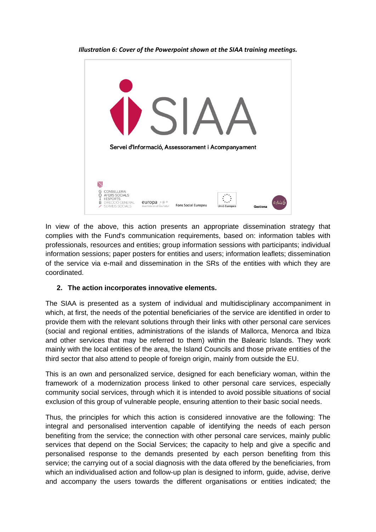

*Illustration 6: Cover of the Powerpoint shown at the SIAA training meetings.*

In view of the above, this action presents an appropriate dissemination strategy that complies with the Fund's communication requirements, based on: information tables with professionals, resources and entities; group information sessions with participants; individual information sessions; paper posters for entities and users; information leaflets; dissemination of the service via e-mail and dissemination in the SRs of the entities with which they are coordinated.

### **2. The action incorporates innovative elements.**

The SIAA is presented as a system of individual and multidisciplinary accompaniment in which, at first, the needs of the potential beneficiaries of the service are identified in order to provide them with the relevant solutions through their links with other personal care services (social and regional entities, administrations of the islands of Mallorca, Menorca and Ibiza and other services that may be referred to them) within the Balearic Islands. They work mainly with the local entities of the area, the Island Councils and those private entities of the third sector that also attend to people of foreign origin, mainly from outside the EU.

This is an own and personalized service, designed for each beneficiary woman, within the framework of a modernization process linked to other personal care services, especially community social services, through which it is intended to avoid possible situations of social exclusion of this group of vulnerable people, ensuring attention to their basic social needs.

Thus, the principles for which this action is considered innovative are the following: The integral and personalised intervention capable of identifying the needs of each person benefiting from the service; the connection with other personal care services, mainly public services that depend on the Social Services; the capacity to help and give a specific and personalised response to the demands presented by each person benefiting from this service; the carrying out of a social diagnosis with the data offered by the beneficiaries, from which an individualised action and follow-up plan is designed to inform, guide, advise, derive and accompany the users towards the different organisations or entities indicated; the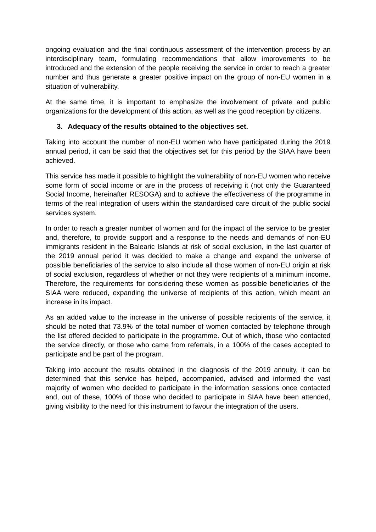ongoing evaluation and the final continuous assessment of the intervention process by an interdisciplinary team, formulating recommendations that allow improvements to be introduced and the extension of the people receiving the service in order to reach a greater number and thus generate a greater positive impact on the group of non-EU women in a situation of vulnerability.

At the same time, it is important to emphasize the involvement of private and public organizations for the development of this action, as well as the good reception by citizens.

### **3. Adequacy of the results obtained to the objectives set.**

Taking into account the number of non-EU women who have participated during the 2019 annual period, it can be said that the objectives set for this period by the SIAA have been achieved.

This service has made it possible to highlight the vulnerability of non-EU women who receive some form of social income or are in the process of receiving it (not only the Guaranteed Social Income, hereinafter RESOGA) and to achieve the effectiveness of the programme in terms of the real integration of users within the standardised care circuit of the public social services system.

In order to reach a greater number of women and for the impact of the service to be greater and, therefore, to provide support and a response to the needs and demands of non-EU immigrants resident in the Balearic Islands at risk of social exclusion, in the last quarter of the 2019 annual period it was decided to make a change and expand the universe of possible beneficiaries of the service to also include all those women of non-EU origin at risk of social exclusion, regardless of whether or not they were recipients of a minimum income. Therefore, the requirements for considering these women as possible beneficiaries of the SIAA were reduced, expanding the universe of recipients of this action, which meant an increase in its impact.

As an added value to the increase in the universe of possible recipients of the service, it should be noted that 73.9% of the total number of women contacted by telephone through the list offered decided to participate in the programme. Out of which, those who contacted the service directly, or those who came from referrals, in a 100% of the cases accepted to participate and be part of the program.

Taking into account the results obtained in the diagnosis of the 2019 annuity, it can be determined that this service has helped, accompanied, advised and informed the vast majority of women who decided to participate in the information sessions once contacted and, out of these, 100% of those who decided to participate in SIAA have been attended, giving visibility to the need for this instrument to favour the integration of the users.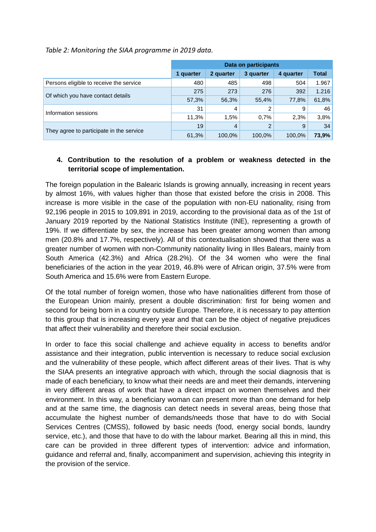*Table 2: Monitoring the SIAA programme in 2019 data.*

|                                          | Data on participants |           |                |           |              |
|------------------------------------------|----------------------|-----------|----------------|-----------|--------------|
|                                          | 1 quarter            | 2 quarter | 3 quarter      | 4 quarter | <b>Total</b> |
| Persons eligible to receive the service  | 480                  | 485       | 498            | 504       | 1.967        |
|                                          | 275                  | 273       | 276            | 392       | 1.216        |
| Of which you have contact details        | 57,3%                | 56,3%     | 55,4%          | 77,8%     | 61,8%        |
| Information sessions                     | 31                   | 4         | 2              | 9         | 46           |
|                                          | 11.3%                | 1.5%      | 0.7%           | 2.3%      | 3,8%         |
|                                          | 19                   | 4         | $\overline{2}$ | 9         | 34           |
| They agree to participate in the service | 61,3%                | 100,0%    | 100,0%         | 100,0%    | 73,9%        |

## **4. Contribution to the resolution of a problem or weakness detected in the territorial scope of implementation.**

The foreign population in the Balearic Islands is growing annually, increasing in recent years by almost 16%, with values higher than those that existed before the crisis in 2008. This increase is more visible in the case of the population with non-EU nationality, rising from 92,196 people in 2015 to 109,891 in 2019, according to the provisional data as of the 1st of January 2019 reported by the National Statistics Institute (INE), representing a growth of 19%. If we differentiate by sex, the increase has been greater among women than among men (20.8% and 17.7%, respectively). All of this contextualisation showed that there was a greater number of women with non-Community nationality living in Illes Balears, mainly from South America (42.3%) and Africa (28.2%). Of the 34 women who were the final beneficiaries of the action in the year 2019, 46.8% were of African origin, 37.5% were from South America and 15.6% were from Eastern Europe.

Of the total number of foreign women, those who have nationalities different from those of the European Union mainly, present a double discrimination: first for being women and second for being born in a country outside Europe. Therefore, it is necessary to pay attention to this group that is increasing every year and that can be the object of negative prejudices that affect their vulnerability and therefore their social exclusion.

In order to face this social challenge and achieve equality in access to benefits and/or assistance and their integration, public intervention is necessary to reduce social exclusion and the vulnerability of these people, which affect different areas of their lives. That is why the SIAA presents an integrative approach with which, through the social diagnosis that is made of each beneficiary, to know what their needs are and meet their demands, intervening in very different areas of work that have a direct impact on women themselves and their environment. In this way, a beneficiary woman can present more than one demand for help and at the same time, the diagnosis can detect needs in several areas, being those that accumulate the highest number of demands/needs those that have to do with Social Services Centres (CMSS), followed by basic needs (food, energy social bonds, laundry service, etc.), and those that have to do with the labour market. Bearing all this in mind, this care can be provided in three different types of intervention: advice and information, guidance and referral and, finally, accompaniment and supervision, achieving this integrity in the provision of the service.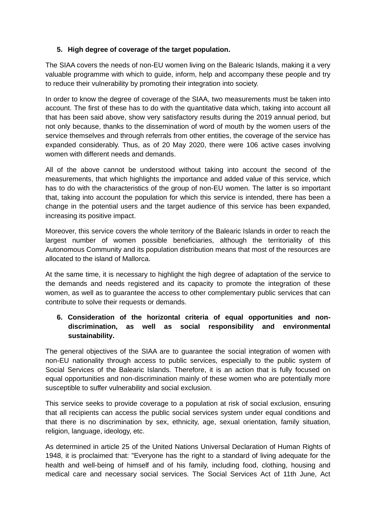## **5. High degree of coverage of the target population.**

The SIAA covers the needs of non-EU women living on the Balearic Islands, making it a very valuable programme with which to guide, inform, help and accompany these people and try to reduce their vulnerability by promoting their integration into society.

In order to know the degree of coverage of the SIAA, two measurements must be taken into account. The first of these has to do with the quantitative data which, taking into account all that has been said above, show very satisfactory results during the 2019 annual period, but not only because, thanks to the dissemination of word of mouth by the women users of the service themselves and through referrals from other entities, the coverage of the service has expanded considerably. Thus, as of 20 May 2020, there were 106 active cases involving women with different needs and demands.

All of the above cannot be understood without taking into account the second of the measurements, that which highlights the importance and added value of this service, which has to do with the characteristics of the group of non-EU women. The latter is so important that, taking into account the population for which this service is intended, there has been a change in the potential users and the target audience of this service has been expanded, increasing its positive impact.

Moreover, this service covers the whole territory of the Balearic Islands in order to reach the largest number of women possible beneficiaries, although the territoriality of this Autonomous Community and its population distribution means that most of the resources are allocated to the island of Mallorca.

At the same time, it is necessary to highlight the high degree of adaptation of the service to the demands and needs registered and its capacity to promote the integration of these women, as well as to guarantee the access to other complementary public services that can contribute to solve their requests or demands.

# **6. Consideration of the horizontal criteria of equal opportunities and nondiscrimination, as well as social responsibility and environmental sustainability.**

The general objectives of the SIAA are to guarantee the social integration of women with non-EU nationality through access to public services, especially to the public system of Social Services of the Balearic Islands. Therefore, it is an action that is fully focused on equal opportunities and non-discrimination mainly of these women who are potentially more susceptible to suffer vulnerability and social exclusion.

This service seeks to provide coverage to a population at risk of social exclusion, ensuring that all recipients can access the public social services system under equal conditions and that there is no discrimination by sex, ethnicity, age, sexual orientation, family situation, religion, language, ideology, etc.

As determined in article 25 of the United Nations Universal Declaration of Human Rights of 1948, it is proclaimed that: "Everyone has the right to a standard of living adequate for the health and well-being of himself and of his family, including food, clothing, housing and medical care and necessary social services. The Social Services Act of 11th June, Act